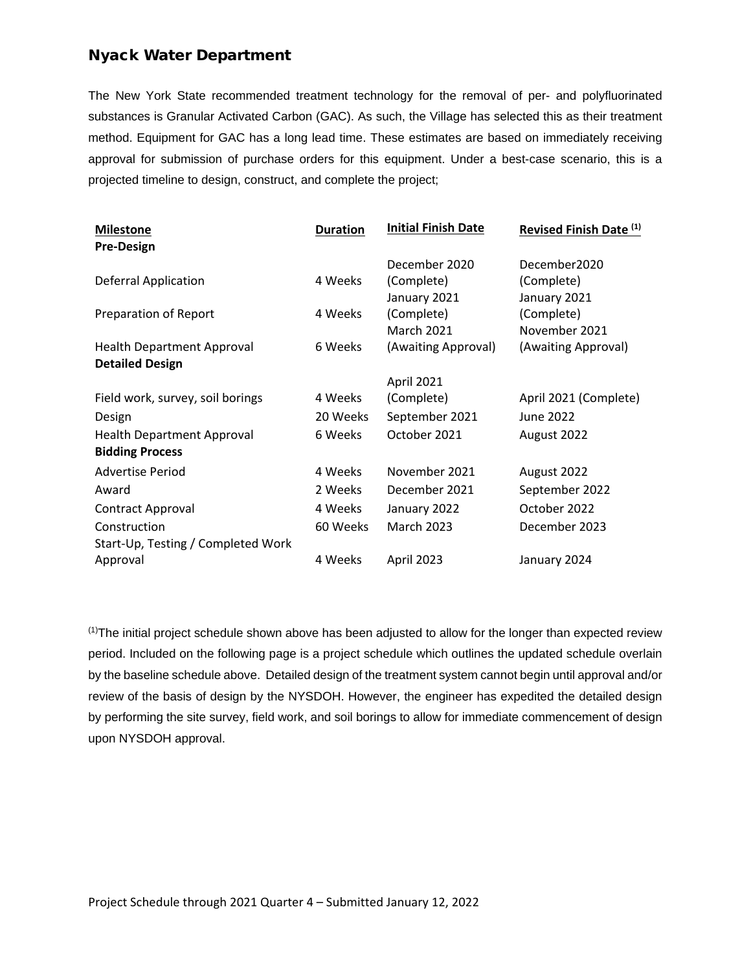## Nyack Water Department

The New York State recommended treatment technology for the removal of per- and polyfluorinated substances is Granular Activated Carbon (GAC). As such, the Village has selected this as their treatment method. Equipment for GAC has a long lead time. These estimates are based on immediately receiving approval for submission of purchase orders for this equipment. Under a best-case scenario, this is a projected timeline to design, construct, and complete the project;

| <b>Milestone</b>                   | <b>Duration</b> | <b>Initial Finish Date</b> | Revised Finish Date (1) |
|------------------------------------|-----------------|----------------------------|-------------------------|
| <b>Pre-Design</b>                  |                 |                            |                         |
|                                    |                 | December 2020              | December2020            |
| <b>Deferral Application</b>        | 4 Weeks         | (Complete)                 | (Complete)              |
|                                    |                 | January 2021               | January 2021            |
| Preparation of Report              | 4 Weeks         | (Complete)                 | (Complete)              |
|                                    |                 | <b>March 2021</b>          | November 2021           |
| <b>Health Department Approval</b>  | 6 Weeks         | (Awaiting Approval)        | (Awaiting Approval)     |
| <b>Detailed Design</b>             |                 |                            |                         |
|                                    |                 | April 2021                 |                         |
| Field work, survey, soil borings   | 4 Weeks         | (Complete)                 | April 2021 (Complete)   |
| Design                             | 20 Weeks        | September 2021             | June 2022               |
| <b>Health Department Approval</b>  | 6 Weeks         | October 2021               | August 2022             |
| <b>Bidding Process</b>             |                 |                            |                         |
| <b>Advertise Period</b>            | 4 Weeks         | November 2021              | August 2022             |
| Award                              | 2 Weeks         | December 2021              | September 2022          |
| Contract Approval                  | 4 Weeks         | January 2022               | October 2022            |
| Construction                       | 60 Weeks        | <b>March 2023</b>          | December 2023           |
| Start-Up, Testing / Completed Work |                 |                            |                         |
| Approval                           | 4 Weeks         | April 2023                 | January 2024            |
|                                    |                 |                            |                         |

(1)The initial project schedule shown above has been adjusted to allow for the longer than expected review period. Included on the following page is a project schedule which outlines the updated schedule overlain by the baseline schedule above. Detailed design of the treatment system cannot begin until approval and/or review of the basis of design by the NYSDOH. However, the engineer has expedited the detailed design by performing the site survey, field work, and soil borings to allow for immediate commencement of design upon NYSDOH approval.